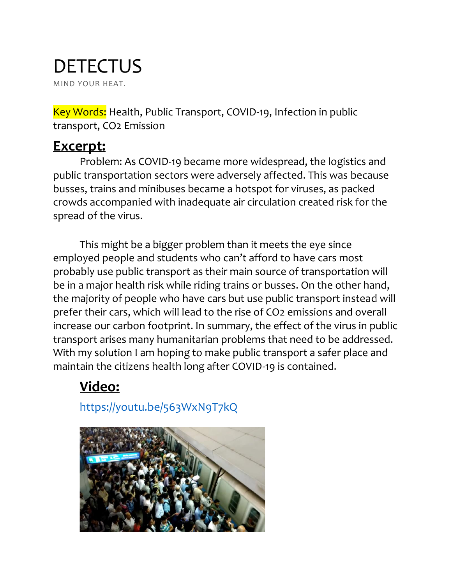## **DETECTUS** MIND YOUR HEAT.

Key Words: Health, Public Transport, COVID-19, Infection in public transport, CO2 Emission

### **Excerpt:**

Problem: As COVID-19 became more widespread, the logistics and public transportation sectors were adversely affected. This was because busses, trains and minibuses became a hotspot for viruses, as packed crowds accompanied with inadequate air circulation created risk for the spread of the virus.

This might be a bigger problem than it meets the eye since employed people and students who can't afford to have cars most probably use public transport as their main source of transportation will be in a major health risk while riding trains or busses. On the other hand, the majority of people who have cars but use public transport instead will prefer their cars, which will lead to the rise of CO2 emissions and overall increase our carbon footprint. In summary, the effect of the virus in public transport arises many humanitarian problems that need to be addressed. With my solution I am hoping to make public transport a safer place and maintain the citizens health long after COVID-19 is contained.

# **Video:**

<https://youtu.be/563WxN9T7kQ>

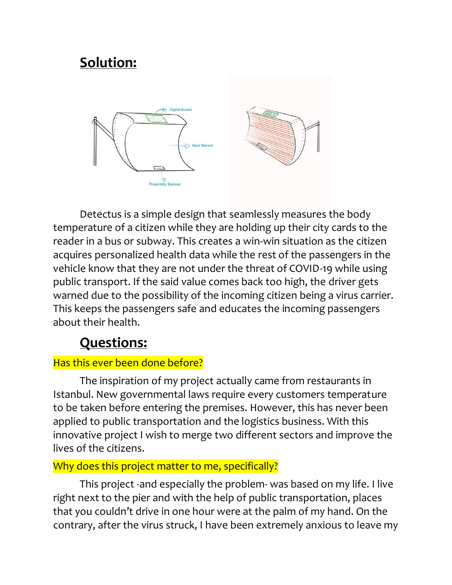# **Solution:**



Detectus is a simple design that seamlessly measures the body temperature of a citizen while they are holding up their city cards to the reader in a bus or subway. This creates a win-win situation as the citizen acquires personalized health data while the rest of the passengers in the vehicle know that they are not under the threat of COVID-19 while using public transport. If the said value comes back too high, the driver gets warned due to the possibility of the incoming citizen being a virus carrier. This keeps the passengers safe and educates the incoming passengers about their health.

## **Questions:**

#### Has this ever been done before?

The inspiration of my project actually came from restaurants in Istanbul. New governmental laws require every customers temperature to be taken before entering the premises. However, this has never been applied to public transportation and the logistics business. With this innovative project I wish to merge two different sectors and improve the lives of the citizens.

#### Why does this project matter to me, specifically?

This project -and especially the problem- was based on my life. I live right next to the pier and with the help of public transportation, places that you couldn't drive in one hour were at the palm of my hand. On the contrary, after the virus struck, I have been extremely anxious to leave my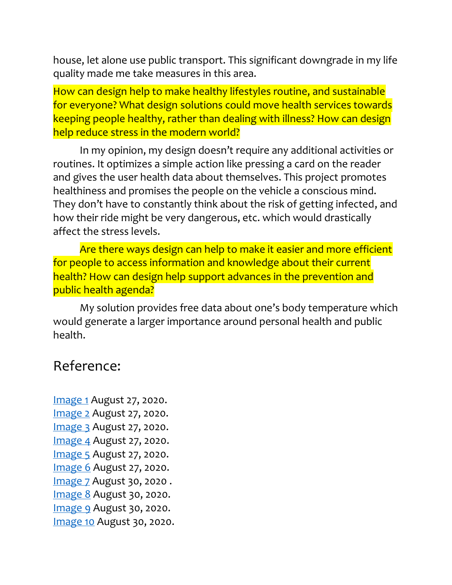house, let alone use public transport. This significant downgrade in my life quality made me take measures in this area.

How can design help to make healthy lifestyles routine, and sustainable for everyone? What design solutions could move health services towards keeping people healthy, rather than dealing with illness? How can design help reduce stress in the modern world?

In my opinion, my design doesn't require any additional activities or routines. It optimizes a simple action like pressing a card on the reader and gives the user health data about themselves. This project promotes healthiness and promises the people on the vehicle a conscious mind. They don't have to constantly think about the risk of getting infected, and how their ride might be very dangerous, etc. which would drastically affect the stress levels.

Are there ways design can help to make it easier and more efficient for people to access information and knowledge about their current health? How can design help support advances in the prevention and public health agenda?

My solution provides free data about one's body temperature which would generate a larger importance around personal health and public health.

### Reference:

[Image 1](https://www.google.com/search?q=tokyo+birds+eye+view&tbm=isch&ved=2ahUKEwicl9nzzsLrAhUGw-AKHfqYBPIQ2-cCegQIABAA&oq=tokyo+birds+eye+view&gs_lcp=CgNpbWcQAzICCAAyBggAEAcQHlC7igJY9JECYIOTAmgAcAB4AIABf4gBugSSAQMwLjWYAQCgAQGqAQtnd3Mtd2l6LWltZ8ABAQ&sclient=img&ei=nnFLX5zQNIaGgwf6sZKQDw&bih=789&biw=1425&rlz=1C5CHFA_enTR838TR838&hl=en#imgrc=b-qB2Ff2ib4xeM) August 27, 2020. [Image 2](https://www.google.com/search?q=shanghai+birds+eye+view&tbm=isch&ved=2ahUKEwjm6uHuy8LrAhVLZxoKHXncAV4Q2-cCegQIABAA&oq=shan+birds+eye+view&gs_lcp=CgNpbWcQARgAMgYIABAHEB46CAgAEAcQBRAeULLOEFjo0BBgntoQaABwAHgAgAF8iAHTA5IBAzAuNJgBAKABAaoBC2d3cy13aXotaW1nwAEB&sclient=img&ei=b25LX6b3DMvOafm4h_AF&bih=789&biw=1425&rlz=1C5CHFA_enTR838TR838&hl=en#imgrc=JNnJtte7DFc3gM) August 27, 2020. [Image 3](https://www.google.com/search?q=paris+birds+eye+view&tbm=isch&ved=2ahUKEwjkyrzey8LrAhUXbRoKHVJoABYQ2-cCegQIABAA&oq=paris+birds+eye+view&gs_lcp=CgNpbWcQAzICCAAyAggAMgYIABAFEB4yBggAEAUQHjIGCAAQBRAeMgYIABAIEB46BggAEAcQHjoICAAQBxAFEB46CAgAEAgQBxAeUPj3AVjz_AFgz4ACaABwAHgAgAF_iAG9BJIBAzAuNZgBAKABAaoBC2d3cy13aXotaW1nwAEB&sclient=img&ei=TW5LX6TwApfaadLQgbAB&bih=789&biw=1425&rlz=1C5CHFA_enTR838TR838&hl=en#imgrc=ktXqH9_VwhBkDM) August 27, 2020. [Image 4](https://www.google.com/search?q=vienna+birds+eye+view&tbm=isch&ved=2ahUKEwjm6uHuy8LrAhVLZxoKHXncAV4Q2-cCegQIABAA&oq=vienna+birds+eye+view&gs_lcp=CgNpbWcQAzICCAA6BggAEAcQHjoICAAQBxAFEB46CAgAEAgQBxAeUJysAVi3sQFg57QBaABwAHgAgAF6iAGcBZIBAzAuNpgBAKABAaoBC2d3cy13aXotaW1nwAEB&sclient=img&ei=b25LX6b3DMvOafm4h_AF&bih=789&biw=1425&rlz=1C5CHFA_enTR838TR838&hl=en) August 27, 2020. [Image 5](https://www.google.com/search?q=vienna+birds+eye+view&tbm=isch&ved=2ahUKEwjm6uHuy8LrAhVLZxoKHXncAV4Q2-cCegQIABAA&oq=vienna+birds+eye+view&gs_lcp=CgNpbWcQAzICCAA6BggAEAcQHjoICAAQBxAFEB46CAgAEAgQBxAeUJysAVi3sQFg57QBaABwAHgAgAF6iAGcBZIBAzAuNpgBAKABAaoBC2d3cy13aXotaW1nwAEB&sclient=img&ei=b25LX6b3DMvOafm4h_AF&bih=789&biw=1425&rlz=1C5CHFA_enTR838TR838&hl=en) August 27, 2020. [Image 6](https://www.google.com/search?q=barcelona+birds+eye+view&tbm=isch&ved=2ahUKEwj5sq_6y8LrAhVCLxoKHex7B80Q2-cCegQIABAA&oq=barcelona+birds+eye+view&gs_lcp=CgNpbWcQAzICCAAyAggAMgYIABAHEB4yBggAEAcQHjIGCAAQBRAeMgYIABAFEB46CAgAEAcQBRAeUM_VAVih3gFg1t8BaABwAHgBgAG3AYgBgQiSAQMxLjiYAQCgAQGqAQtnd3Mtd2l6LWltZ8ABAQ&sclient=img&ei=h25LX7nTIcLeaOz3negM&bih=789&biw=1425&rlz=1C5CHFA_enTR838TR838&hl=en#imgrc=3gqYwwh4QwgMuM) August 27, 2020. [Image 7](https://www.google.com/search?q=nyc+birds+eye+view&tbm=isch&ved=2ahUKEwjW2NuIzMLrAhUO0xoKHU41C1gQ2-cCegQIABAA&oq=nyc+birds+eye+view&gs_lcp=CgNpbWcQAzIGCAAQBxAeMgYIABAHEB4yCAgAEAcQBRAeUJelAVizqQFg9asBaABwAHgAgAFxiAHeAZIBAzAuMpgBAKABAaoBC2d3cy13aXotaW1nwAEB&sclient=img&ei=pW5LX5byJo6ma87qrMAF&bih=789&biw=1425&rlz=1C5CHFA_enTR838TR838&hl=en#imgrc=AqTHG8vHr4Cg-M&imgdii=O3MQxCgyjQqPjM) August 30, 2020 . [Image 8](https://www.google.com/search?q=venice+birds+eye+view&tbm=isch&ved=2ahUKEwjouOOwy8LrAhUW4oUKHc63AWoQ2-cCegQIABAA&oq=venice+birds+eye+view&gs_lcp=CgNpbWcQAzICCAAyBggAEAcQHlDo7AFYofIBYNzzAWgAcAB4AIABkAGIAbYFkgEDMC42mAEAoAEBqgELZ3dzLXdpei1pbWfAAQE&sclient=img&ei=7W1LX6iODZbElwTO74bQBg&bih=789&biw=1425&rlz=1C5CHFA_enTR838TR838&hl=en#imgrc=fE_Ek5ge87jSeM) August 30, 2020. [Image 9](https://www.google.com/search?q=istanbul+birds+eye+view&tbm=isch&chips=q:istanbul+birds+eye+view,g_1:skyline:n4gX4l6PqI8%3D&rlz=1C5CHFA_enTR838TR838&hl=en&sa=X&ved=2ahUKEwims5Soy8LrAhVMMRoKHfkdCOUQ4lYoAHoECAEQFQ&biw=1425&bih=789#imgrc=M8KtbyHBiII27M) August 30, 2020. [Image 10](https://www.google.com/search?q=london+birds+eye+view&tbm=isch&ved=2ahUKEwjouOOwy8LrAhUW4oUKHc63AWoQ2-cCegQIABAA&oq=london+birds+eye+view&gs_lcp=CgNpbWcQAzICCAAyAggAMgYIABAHEB4yBggAEAcQHjIGCAAQBxAeMgYIABAHEB4yBggAEAcQHjIGCAAQBRAeMgYIABAFEB4yBggAEAUQHjoICAAQBxAFEB5QtVRY_GFgr2NoAHAAeACAAZgBiAGTBpIBAzAuNpgBAKABAaoBC2d3cy13aXotaW1nwAEB&sclient=img&ei=7W1LX6iODZbElwTO74bQBg&bih=789&biw=1425&rlz=1C5CHFA_enTR838TR838&hl=en#imgrc=RLfxmEp5emSEMM) August 30, 2020.